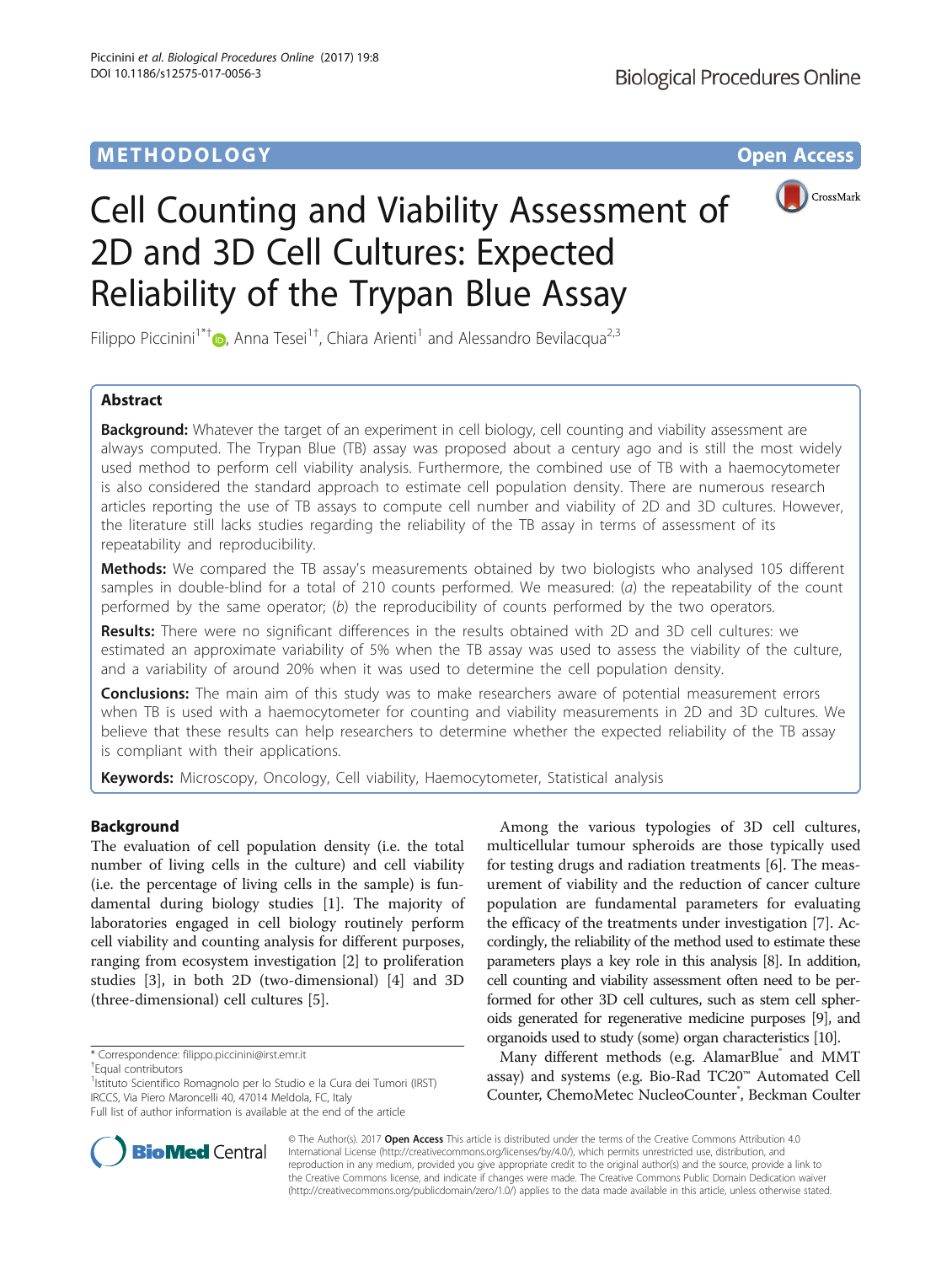

# Cell Counting and Viability Assessment of 2D and 3D Cell Cultures: Expected Reliability of the Trypan Blue Assay

Filippo Piccinini<sup>1\*†</sup> <sub>(b</sub>[,](http://orcid.org/0000-0002-0371-7782) Anna Tesei<sup>1†</sup>, Chiara Arienti<sup>1</sup> and Alessandro Bevilacqua<sup>2,3</sup>

# Abstract

**Background:** Whatever the target of an experiment in cell biology, cell counting and viability assessment are always computed. The Trypan Blue (TB) assay was proposed about a century ago and is still the most widely used method to perform cell viability analysis. Furthermore, the combined use of TB with a haemocytometer is also considered the standard approach to estimate cell population density. There are numerous research articles reporting the use of TB assays to compute cell number and viability of 2D and 3D cultures. However, the literature still lacks studies regarding the reliability of the TB assay in terms of assessment of its repeatability and reproducibility.

Methods: We compared the TB assay's measurements obtained by two biologists who analysed 105 different samples in double-blind for a total of 210 counts performed. We measured: (a) the repeatability of the count performed by the same operator; (b) the reproducibility of counts performed by the two operators.

Results: There were no significant differences in the results obtained with 2D and 3D cell cultures: we estimated an approximate variability of 5% when the TB assay was used to assess the viability of the culture, and a variability of around 20% when it was used to determine the cell population density.

**Conclusions:** The main aim of this study was to make researchers aware of potential measurement errors when TB is used with a haemocytometer for counting and viability measurements in 2D and 3D cultures. We believe that these results can help researchers to determine whether the expected reliability of the TB assay is compliant with their applications.

**Keywords:** Microscopy, Oncology, Cell viability, Haemocytometer, Statistical analysis

# Background

The evaluation of cell population density (i.e. the total number of living cells in the culture) and cell viability (i.e. the percentage of living cells in the sample) is fundamental during biology studies [\[1\]](#page-10-0). The majority of laboratories engaged in cell biology routinely perform cell viability and counting analysis for different purposes, ranging from ecosystem investigation [\[2\]](#page-10-0) to proliferation studies [\[3](#page-10-0)], in both 2D (two-dimensional) [\[4](#page-10-0)] and 3D (three-dimensional) cell cultures [[5\]](#page-10-0).

Equal contributors

<sup>1</sup>Istituto Scientifico Romagnolo per lo Studio e la Cura dei Tumori (IRST) IRCCS, Via Piero Maroncelli 40, 47014 Meldola, FC, Italy



Many different methods (e.g. AlamarBlue and MMT assay) and systems (e.g. Bio-Rad TC20™ Automated Cell Counter, ChemoMetec NucleoCounter<sup>®</sup>, Beckman Coulter



© The Author(s). 2017 **Open Access** This article is distributed under the terms of the Creative Commons Attribution 4.0 International License [\(http://creativecommons.org/licenses/by/4.0/](http://creativecommons.org/licenses/by/4.0/)), which permits unrestricted use, distribution, and reproduction in any medium, provided you give appropriate credit to the original author(s) and the source, provide a link to the Creative Commons license, and indicate if changes were made. The Creative Commons Public Domain Dedication waiver [\(http://creativecommons.org/publicdomain/zero/1.0/](http://creativecommons.org/publicdomain/zero/1.0/)) applies to the data made available in this article, unless otherwise stated.

<sup>\*</sup> Correspondence: [filippo.piccinini@irst.emr.it](mailto:filippo.piccinini@irst.emr.it) †

Full list of author information is available at the end of the article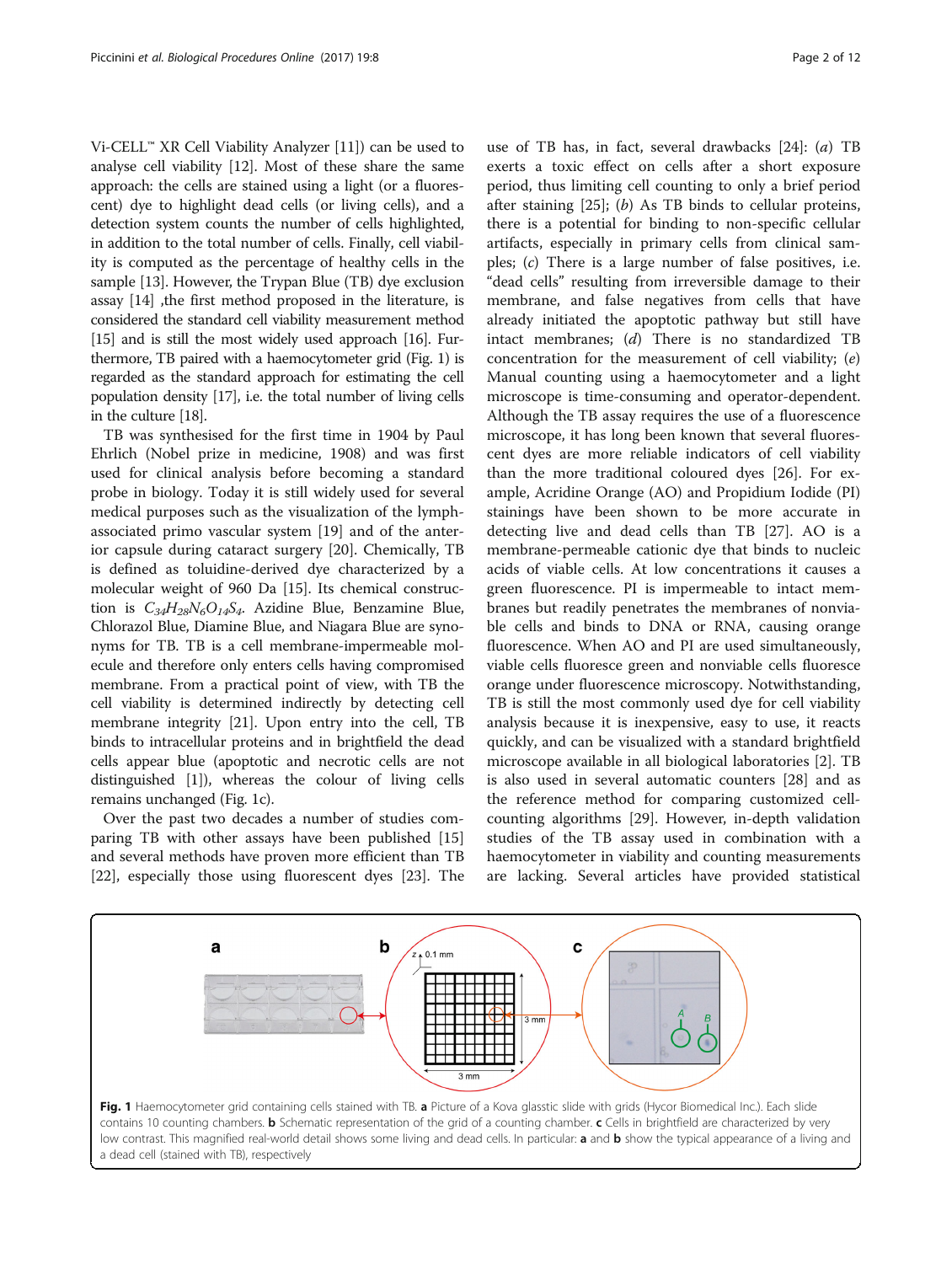<span id="page-1-0"></span>Vi-CELL™ XR Cell Viability Analyzer [\[11](#page-11-0)]) can be used to analyse cell viability [\[12\]](#page-11-0). Most of these share the same approach: the cells are stained using a light (or a fluorescent) dye to highlight dead cells (or living cells), and a detection system counts the number of cells highlighted, in addition to the total number of cells. Finally, cell viability is computed as the percentage of healthy cells in the sample [[13](#page-11-0)]. However, the Trypan Blue (TB) dye exclusion assay [\[14\]](#page-11-0) ,the first method proposed in the literature, is considered the standard cell viability measurement method [[15](#page-11-0)] and is still the most widely used approach [\[16\]](#page-11-0). Furthermore, TB paired with a haemocytometer grid (Fig. 1) is regarded as the standard approach for estimating the cell population density [\[17\]](#page-11-0), i.e. the total number of living cells in the culture [\[18\]](#page-11-0).

TB was synthesised for the first time in 1904 by Paul Ehrlich (Nobel prize in medicine, 1908) and was first used for clinical analysis before becoming a standard probe in biology. Today it is still widely used for several medical purposes such as the visualization of the lymphassociated primo vascular system [[19\]](#page-11-0) and of the anterior capsule during cataract surgery [[20](#page-11-0)]. Chemically, TB is defined as toluidine-derived dye characterized by a molecular weight of 960 Da [\[15\]](#page-11-0). Its chemical construction is  $C_{34}H_{28}N_6O_{14}S_4$ . Azidine Blue, Benzamine Blue, Chlorazol Blue, Diamine Blue, and Niagara Blue are synonyms for TB. TB is a cell membrane-impermeable molecule and therefore only enters cells having compromised membrane. From a practical point of view, with TB the cell viability is determined indirectly by detecting cell membrane integrity [\[21\]](#page-11-0). Upon entry into the cell, TB binds to intracellular proteins and in brightfield the dead cells appear blue (apoptotic and necrotic cells are not distinguished [\[1](#page-10-0)]), whereas the colour of living cells remains unchanged (Fig. 1c).

Over the past two decades a number of studies comparing TB with other assays have been published [[15](#page-11-0)] and several methods have proven more efficient than TB [[22\]](#page-11-0), especially those using fluorescent dyes [\[23\]](#page-11-0). The

use of TB has, in fact, several drawbacks [\[24](#page-11-0)]: (a) TB exerts a toxic effect on cells after a short exposure period, thus limiting cell counting to only a brief period after staining  $[25]$ ; (b) As TB binds to cellular proteins, there is a potential for binding to non-specific cellular artifacts, especially in primary cells from clinical samples; (c) There is a large number of false positives, i.e. "dead cells" resulting from irreversible damage to their membrane, and false negatives from cells that have already initiated the apoptotic pathway but still have intact membranes; (d) There is no standardized TB concentration for the measurement of cell viability; (e) Manual counting using a haemocytometer and a light microscope is time-consuming and operator-dependent. Although the TB assay requires the use of a fluorescence microscope, it has long been known that several fluorescent dyes are more reliable indicators of cell viability than the more traditional coloured dyes [[26](#page-11-0)]. For example, Acridine Orange (AO) and Propidium Iodide (PI) stainings have been shown to be more accurate in detecting live and dead cells than TB [\[27](#page-11-0)]. AO is a membrane-permeable cationic dye that binds to nucleic acids of viable cells. At low concentrations it causes a green fluorescence. PI is impermeable to intact membranes but readily penetrates the membranes of nonviable cells and binds to DNA or RNA, causing orange fluorescence. When AO and PI are used simultaneously, viable cells fluoresce green and nonviable cells fluoresce orange under fluorescence microscopy. Notwithstanding, TB is still the most commonly used dye for cell viability analysis because it is inexpensive, easy to use, it reacts quickly, and can be visualized with a standard brightfield microscope available in all biological laboratories [[2\]](#page-10-0). TB is also used in several automatic counters [[28\]](#page-11-0) and as the reference method for comparing customized cellcounting algorithms [[29\]](#page-11-0). However, in-depth validation studies of the TB assay used in combination with a haemocytometer in viability and counting measurements are lacking. Several articles have provided statistical

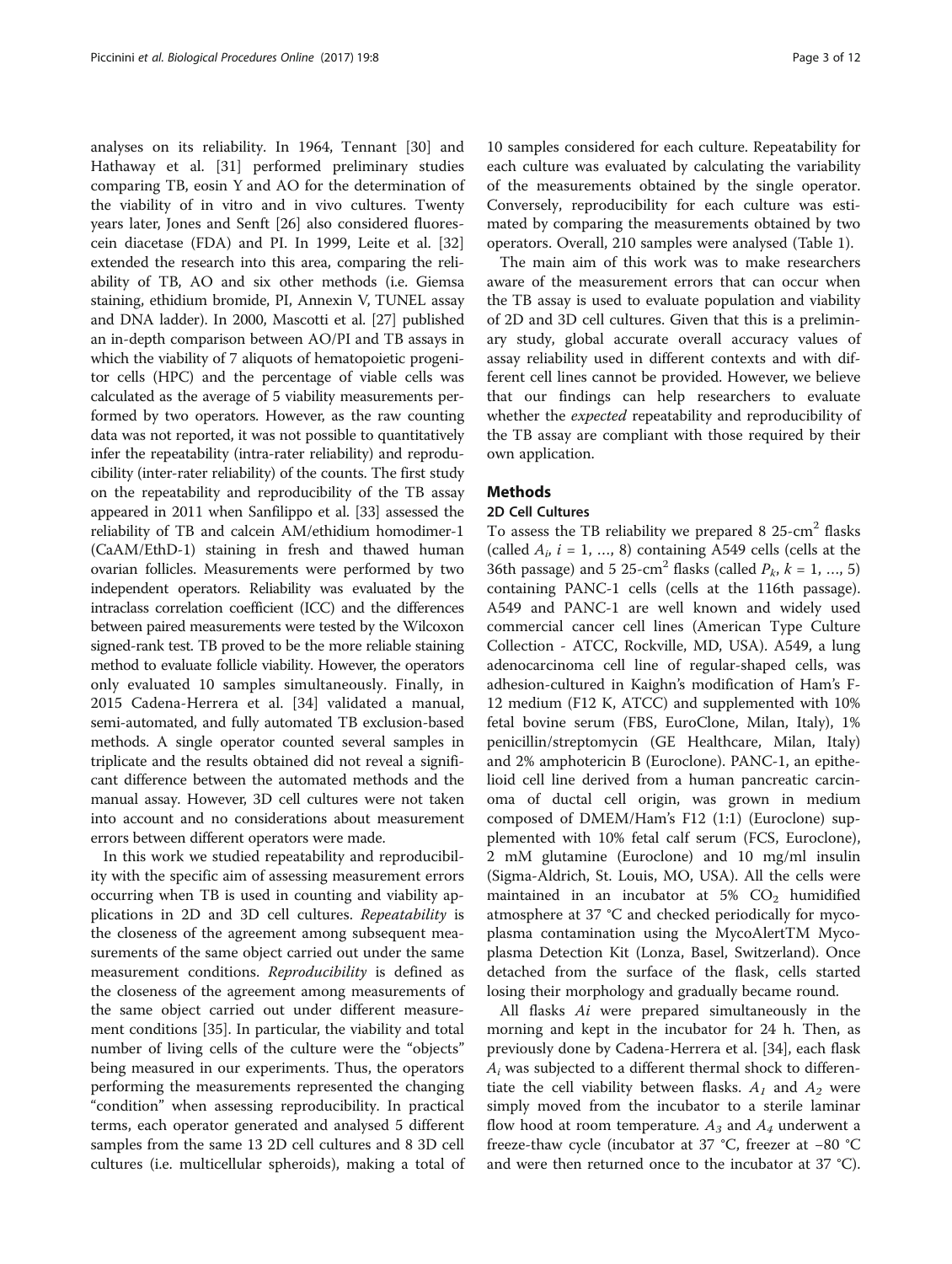analyses on its reliability. In 1964, Tennant [[30\]](#page-11-0) and Hathaway et al. [\[31](#page-11-0)] performed preliminary studies comparing TB, eosin Y and AO for the determination of the viability of in vitro and in vivo cultures. Twenty years later, Jones and Senft [[26](#page-11-0)] also considered fluorescein diacetase (FDA) and PI. In 1999, Leite et al. [[32](#page-11-0)] extended the research into this area, comparing the reliability of TB, AO and six other methods (i.e. Giemsa staining, ethidium bromide, PI, Annexin V, TUNEL assay and DNA ladder). In 2000, Mascotti et al. [[27](#page-11-0)] published an in-depth comparison between AO/PI and TB assays in which the viability of 7 aliquots of hematopoietic progenitor cells (HPC) and the percentage of viable cells was calculated as the average of 5 viability measurements performed by two operators. However, as the raw counting data was not reported, it was not possible to quantitatively infer the repeatability (intra-rater reliability) and reproducibility (inter-rater reliability) of the counts. The first study on the repeatability and reproducibility of the TB assay appeared in 2011 when Sanfilippo et al. [\[33\]](#page-11-0) assessed the reliability of TB and calcein AM/ethidium homodimer-1 (CaAM/EthD-1) staining in fresh and thawed human ovarian follicles. Measurements were performed by two independent operators. Reliability was evaluated by the intraclass correlation coefficient (ICC) and the differences between paired measurements were tested by the Wilcoxon signed-rank test. TB proved to be the more reliable staining method to evaluate follicle viability. However, the operators only evaluated 10 samples simultaneously. Finally, in 2015 Cadena-Herrera et al. [\[34](#page-11-0)] validated a manual, semi-automated, and fully automated TB exclusion-based methods. A single operator counted several samples in triplicate and the results obtained did not reveal a significant difference between the automated methods and the manual assay. However, 3D cell cultures were not taken into account and no considerations about measurement errors between different operators were made.

In this work we studied repeatability and reproducibility with the specific aim of assessing measurement errors occurring when TB is used in counting and viability applications in 2D and 3D cell cultures. Repeatability is the closeness of the agreement among subsequent measurements of the same object carried out under the same measurement conditions. Reproducibility is defined as the closeness of the agreement among measurements of the same object carried out under different measurement conditions [[35\]](#page-11-0). In particular, the viability and total number of living cells of the culture were the "objects" being measured in our experiments. Thus, the operators performing the measurements represented the changing "condition" when assessing reproducibility. In practical terms, each operator generated and analysed 5 different samples from the same 13 2D cell cultures and 8 3D cell cultures (i.e. multicellular spheroids), making a total of

10 samples considered for each culture. Repeatability for each culture was evaluated by calculating the variability of the measurements obtained by the single operator. Conversely, reproducibility for each culture was estimated by comparing the measurements obtained by two operators. Overall, 210 samples were analysed (Table [1](#page-3-0)).

The main aim of this work was to make researchers aware of the measurement errors that can occur when the TB assay is used to evaluate population and viability of 2D and 3D cell cultures. Given that this is a preliminary study, global accurate overall accuracy values of assay reliability used in different contexts and with different cell lines cannot be provided. However, we believe that our findings can help researchers to evaluate whether the *expected* repeatability and reproducibility of the TB assay are compliant with those required by their own application.

# Methods

# 2D Cell Cultures

To assess the TB reliability we prepared 8  $25$ -cm<sup>2</sup> flasks (called  $A_i$ ,  $i = 1, ..., 8$ ) containing A549 cells (cells at the 36th passage) and 5 25-cm<sup>2</sup> flasks (called  $P_k$ ,  $k = 1, ..., 5$ ) containing PANC-1 cells (cells at the 116th passage). A549 and PANC-1 are well known and widely used commercial cancer cell lines (American Type Culture Collection - ATCC, Rockville, MD, USA). A549, a lung adenocarcinoma cell line of regular-shaped cells, was adhesion-cultured in Kaighn's modification of Ham's F-12 medium (F12 K, ATCC) and supplemented with 10% fetal bovine serum (FBS, EuroClone, Milan, Italy), 1% penicillin/streptomycin (GE Healthcare, Milan, Italy) and 2% amphotericin B (Euroclone). PANC-1, an epithelioid cell line derived from a human pancreatic carcinoma of ductal cell origin, was grown in medium composed of DMEM/Ham's F12 (1:1) (Euroclone) supplemented with 10% fetal calf serum (FCS, Euroclone), 2 mM glutamine (Euroclone) and 10 mg/ml insulin (Sigma-Aldrich, St. Louis, MO, USA). All the cells were maintained in an incubator at  $5\%$  CO<sub>2</sub> humidified atmosphere at 37 °C and checked periodically for mycoplasma contamination using the MycoAlertTM Mycoplasma Detection Kit (Lonza, Basel, Switzerland). Once detached from the surface of the flask, cells started losing their morphology and gradually became round.

All flasks Ai were prepared simultaneously in the morning and kept in the incubator for 24 h. Then, as previously done by Cadena-Herrera et al. [\[34\]](#page-11-0), each flask  $A_i$  was subjected to a different thermal shock to differentiate the cell viability between flasks.  $A_1$  and  $A_2$  were simply moved from the incubator to a sterile laminar flow hood at room temperature.  $A_3$  and  $A_4$  underwent a freeze-thaw cycle (incubator at 37 °C, freezer at −80 °C and were then returned once to the incubator at 37 °C).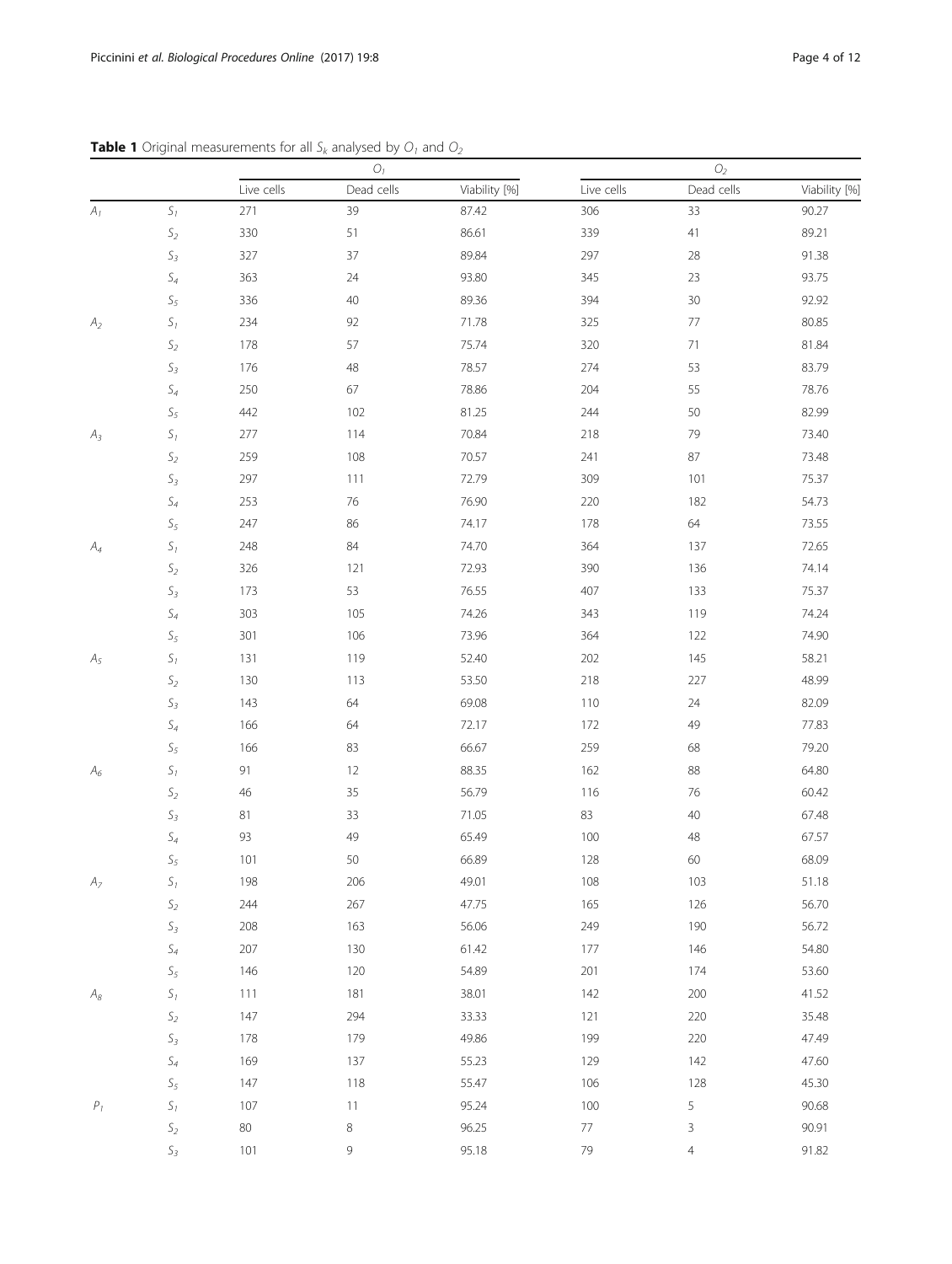|                    |                             | ${\cal O}_1$ |            |               | $\mathcal{O}_2$ |                |               |
|--------------------|-----------------------------|--------------|------------|---------------|-----------------|----------------|---------------|
|                    |                             | Live cells   | Dead cells | Viability [%] | Live cells      | Dead cells     | Viability [%] |
| A <sub>1</sub>     | $S_1$                       | 271          | 39         | 87.42         | 306             | 33             | 90.27         |
|                    | $\mathsf{S}_2$              | 330          | 51         | 86.61         | 339             | $41$           | 89.21         |
|                    | $\mathcal{S}_3$             | 327          | 37         | 89.84         | 297             | 28             | 91.38         |
|                    | $S_4$                       | 363          | 24         | 93.80         | 345             | 23             | 93.75         |
|                    | $\mathsf{S}_5$              | 336          | 40         | 89.36         | 394             | 30             | 92.92         |
| A <sub>2</sub>     | $\mathsf{S}_1$              | 234          | 92         | 71.78         | 325             | 77             | 80.85         |
|                    | $\mathsf{S}_2$              | 178          | 57         | 75.74         | 320             | 71             | 81.84         |
|                    | $\mathcal{S}_3$             | 176          | 48         | 78.57         | 274             | 53             | 83.79         |
|                    | $\mathsf S_4$               | 250          | 67         | 78.86         | 204             | 55             | 78.76         |
|                    | $\mathsf{S}_5$              | 442          | 102        | 81.25         | 244             | 50             | 82.99         |
| $A_3$              | $\mathcal{S}_1$             | 277          | 114        | 70.84         | 218             | 79             | 73.40         |
|                    | $\mathsf{S}_2$              | 259          | 108        | 70.57         | 241             | 87             | 73.48         |
|                    | $\mathsf{S}_3$              | 297          | 111        | 72.79         | 309             | 101            | 75.37         |
|                    | $S_4$                       | 253          | 76         | 76.90         | 220             | 182            | 54.73         |
|                    | $\mathsf{S}_5$              | 247          | 86         | 74.17         | 178             | 64             | 73.55         |
| $A_4$              | $S_1$                       | 248          | 84         | 74.70         | 364             | 137            | 72.65         |
|                    | $\mathsf{S}_2$              | 326          | 121        | 72.93         | 390             | 136            | 74.14         |
|                    | $\mathcal{S}_3$             | 173          | 53         | 76.55         | 407             | 133            | 75.37         |
|                    | $\mathsf{S}_4$              | 303          | 105        | 74.26         | 343             | 119            | 74.24         |
|                    | $\mathsf{S}_5$              | 301          | 106        | 73.96         | 364             | 122            | 74.90         |
| $A_5$              | $S_1$                       | 131          | 119        | 52.40         | 202             | 145            | 58.21         |
|                    | $\mathsf{S}_2$              | 130          | 113        | 53.50         | 218             | 227            | 48.99         |
|                    | $\mathcal{S}_3$             | 143          | 64         | 69.08         | 110             | 24             | 82.09         |
|                    | $\mathsf S_4$               | 166          | 64         | 72.17         | 172             | 49             | 77.83         |
|                    | $\mathsf{S}_5$              | 166          | 83         | 66.67         | 259             | 68             | 79.20         |
| $A_6$              | $\mathcal{S}_1$             | 91           | 12         | 88.35         | 162             | 88             | 64.80         |
|                    | $\mathsf{S}_2$              | 46           | 35         | 56.79         | 116             | 76             | 60.42         |
|                    | $S_3$                       | 81           | 33         | 71.05         | 83              | 40             | 67.48         |
|                    | $\mathcal{S}_4$             | 93           | 49         | 65.49         | 100             | 48             | 67.57         |
|                    | $\mathsf{S}_5$              | 101          | 50         | 66.89         | 128             | 60             | 68.09         |
| A <sub>7</sub>     | $\mathcal{S}_1$             | 198          | 206        | 49.01         | 108             | 103            | 51.18         |
|                    | $\mathsf{S}_2$              | 244          | 267        | 47.75         | 165             | 126            | 56.70         |
|                    | $\mathsf{S}_3$              | 208          | 163        | 56.06         | 249             | 190            | 56.72         |
|                    | $\mathsf S_4$               | 207          | 130        | 61.42         | 177             | 146            | 54.80         |
|                    | $\mathsf{S}_5$              | 146          | 120        | 54.89         | 201             | 174            | 53.60         |
| $\mathcal{A}_{8}$  | $\boldsymbol{S}_1$          | 111          | 181        | 38.01         | 142             | 200            | 41.52         |
|                    | $\mathsf{S}_2$              | 147          | 294        | 33.33         | 121             | 220            | 35.48         |
|                    | $\mathsf{S}_3$              | 178          | 179        | 49.86         | 199             | 220            | 47.49         |
|                    | $\mathsf S_4$               | 169          | 137        | 55.23         | 129             | 142            | 47.60         |
|                    | $\mathsf{S}_5$              | 147          | 118        | 55.47         | 106             | 128            | 45.30         |
| $\boldsymbol{P}_1$ | $\boldsymbol{\mathit{S}}_1$ | $107$        | 11         | 95.24         | 100             | 5              | 90.68         |
|                    | $\mathsf{S}_2$              | $80\,$       | 8          | 96.25         | $77\,$          | $\mathsf{3}$   | 90.91         |
|                    | $\mathsf{S}_3$              | 101          | 9          | 95.18         | 79              | $\overline{4}$ | 91.82         |

<span id="page-3-0"></span>**Table 1** Original measurements for all  $S_k$  analysed by  $O_1$  and  $O_2$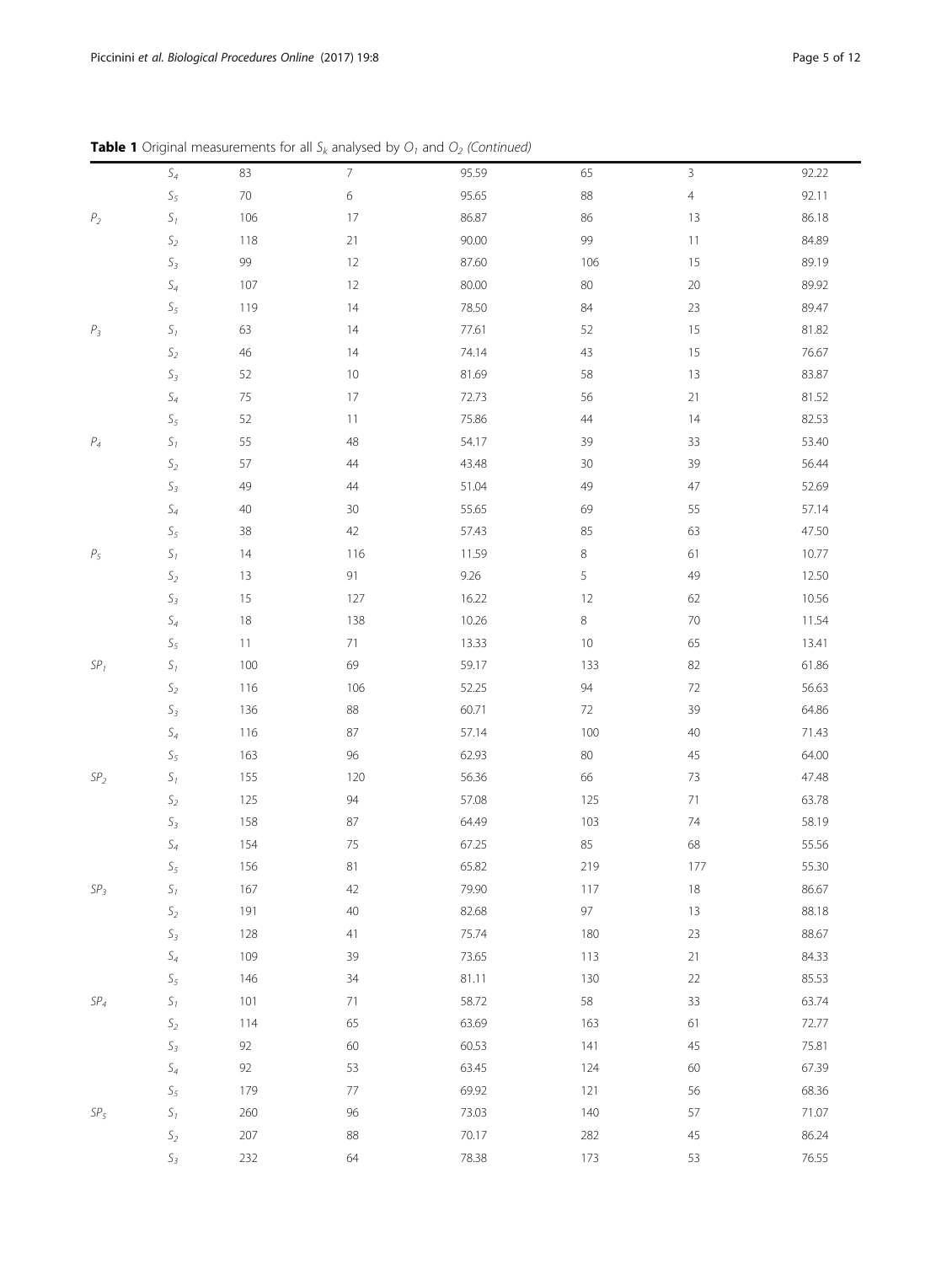|  | <b>Table 1</b> Original measurements for all $S_k$ analysed by $O_1$ and $O_2$ (Continued) |  |  |
|--|--------------------------------------------------------------------------------------------|--|--|
|  |                                                                                            |  |  |

|                 | ╯               |         | n                        | ÷     |         |                |       |
|-----------------|-----------------|---------|--------------------------|-------|---------|----------------|-------|
|                 | $\mathsf{S}_4$  | 83      | $\overline{\mathcal{I}}$ | 95.59 | 65      | $\mathsf{3}$   | 92.22 |
|                 | $\mathcal{S}_5$ | $70\,$  | 6                        | 95.65 | 88      | $\overline{4}$ | 92.11 |
| P <sub>2</sub>  | $\mathcal{S}_1$ | 106     | 17                       | 86.87 | 86      | 13             | 86.18 |
|                 | $\mathsf{S}_2$  | 118     | 21                       | 90.00 | 99      | $11$           | 84.89 |
|                 | $\mathsf{S}_3$  | 99      | 12                       | 87.60 | 106     | 15             | 89.19 |
|                 | $\mathsf S_4$   | 107     | 12                       | 80.00 | 80      | 20             | 89.92 |
|                 | $\mathsf{S}_5$  | 119     | 14                       | 78.50 | $84\,$  | 23             | 89.47 |
| $P_3$           | $\mathcal{S}_1$ | 63      | 14                       | 77.61 | 52      | 15             | 81.82 |
|                 | $\mathsf{S}_2$  | 46      | 14                       | 74.14 | 43      | 15             | 76.67 |
|                 | $\mathsf{S}_3$  | 52      | $10$                     | 81.69 | 58      | 13             | 83.87 |
|                 | $\mathsf{S}_4$  | $75\,$  | $17\,$                   | 72.73 | 56      | $21\,$         | 81.52 |
|                 | $\mathsf{S}_5$  | 52      | 11                       | 75.86 | 44      | 14             | 82.53 |
| $\mathsf{P}_4$  | $\mathsf{S}_1$  | 55      | 48                       | 54.17 | 39      | 33             | 53.40 |
|                 | $\mathsf{S}_2$  | 57      | 44                       | 43.48 | 30      | 39             | 56.44 |
|                 | $\mathsf{S}_3$  | 49      | 44                       | 51.04 | 49      | 47             | 52.69 |
|                 | $\mathsf S_4$   | 40      | 30                       | 55.65 | 69      | 55             | 57.14 |
|                 | $\mathsf{S}_5$  | 38      | 42                       | 57.43 | 85      | 63             | 47.50 |
| $\mathit{P}_5$  | $\mathcal{S}_1$ | 14      | 116                      | 11.59 | $\,8$   | 61             | 10.77 |
|                 | $\mathsf{S}_2$  | 13      | 91                       | 9.26  | 5       | 49             | 12.50 |
|                 | $\mathcal{S}_3$ | 15      | 127                      | 16.22 | 12      | 62             | 10.56 |
|                 | $\mathsf{S}_4$  | 18      | 138                      | 10.26 | $\,8\,$ | $70\,$         | 11.54 |
|                 | $\mathsf{S}_5$  | 11      | 71                       | 13.33 | $10\,$  | 65             | 13.41 |
| $SP1$           | $\mathcal{S}_1$ | 100     | 69                       | 59.17 | 133     | 82             | 61.86 |
|                 | $\mathsf{S}_2$  | 116     | 106                      | 52.25 | $94\,$  | $72\,$         | 56.63 |
|                 | $\mathsf{S}_3$  | 136     | 88                       | 60.71 | 72      | 39             | 64.86 |
|                 | $\mathsf{S}_4$  | 116     | 87                       | 57.14 | 100     | 40             | 71.43 |
|                 | $\mathsf{S}_5$  | 163     | 96                       | 62.93 | 80      | 45             | 64.00 |
| $SP2$           | $\mathsf{S}_1$  | 155     | 120                      | 56.36 | 66      | 73             | 47.48 |
|                 | $\mathsf{S}_2$  | 125     | 94                       | 57.08 | 125     | $71\,$         | 63.78 |
|                 | $\mathcal{S}_3$ | 158     | 87                       | 64.49 | 103     | 74             | 58.19 |
|                 | $\mathsf S_4$   | 154     | 75                       | 67.25 | 85      | 68             | 55.56 |
|                 | $\mathsf{S}_5$  | 156     | 81                       | 65.82 | 219     | 177            | 55.30 |
| SP <sub>3</sub> | $\mathsf{S}_1$  | 167     | 42                       | 79.90 | 117     | 18             | 86.67 |
|                 | $\mathsf{S}_2$  | 191     | $40\,$                   | 82.68 | $97\,$  | $13$           | 88.18 |
|                 | $\mathsf{S}_3$  | 128     | $41$                     | 75.74 | 180     | 23             | 88.67 |
|                 | $\mathsf{S}_4$  | 109     | 39                       | 73.65 | 113     | $21$           | 84.33 |
|                 | $\mathsf{S}_5$  | 146     | 34                       | 81.11 | 130     | $22\,$         | 85.53 |
| ${\cal SP}_4$   | $\mathcal{S}_1$ | 101     | $71\,$                   | 58.72 | 58      | 33             | 63.74 |
|                 | $\mathsf{S}_2$  | 114     | 65                       | 63.69 | 163     | 61             | 72.77 |
|                 | $\mathsf{S}_3$  | 92      | 60                       | 60.53 | 141     | 45             | 75.81 |
|                 | $\mathsf{S}_4$  | 92      | 53                       | 63.45 | 124     | 60             | 67.39 |
|                 | $\mathsf{S}_5$  | 179     | $77\,$                   | 69.92 | 121     | 56             | 68.36 |
| $SP_5$          | $\mathsf{S}_1$  | 260     | 96                       | 73.03 | 140     | 57             | 71.07 |
|                 | $\mathsf{S}_2$  | $207\,$ | 88                       | 70.17 | 282     | 45             | 86.24 |
|                 | $\mathsf{S}_3$  | 232     | 64                       | 78.38 | 173     | 53             | 76.55 |
|                 |                 |         |                          |       |         |                |       |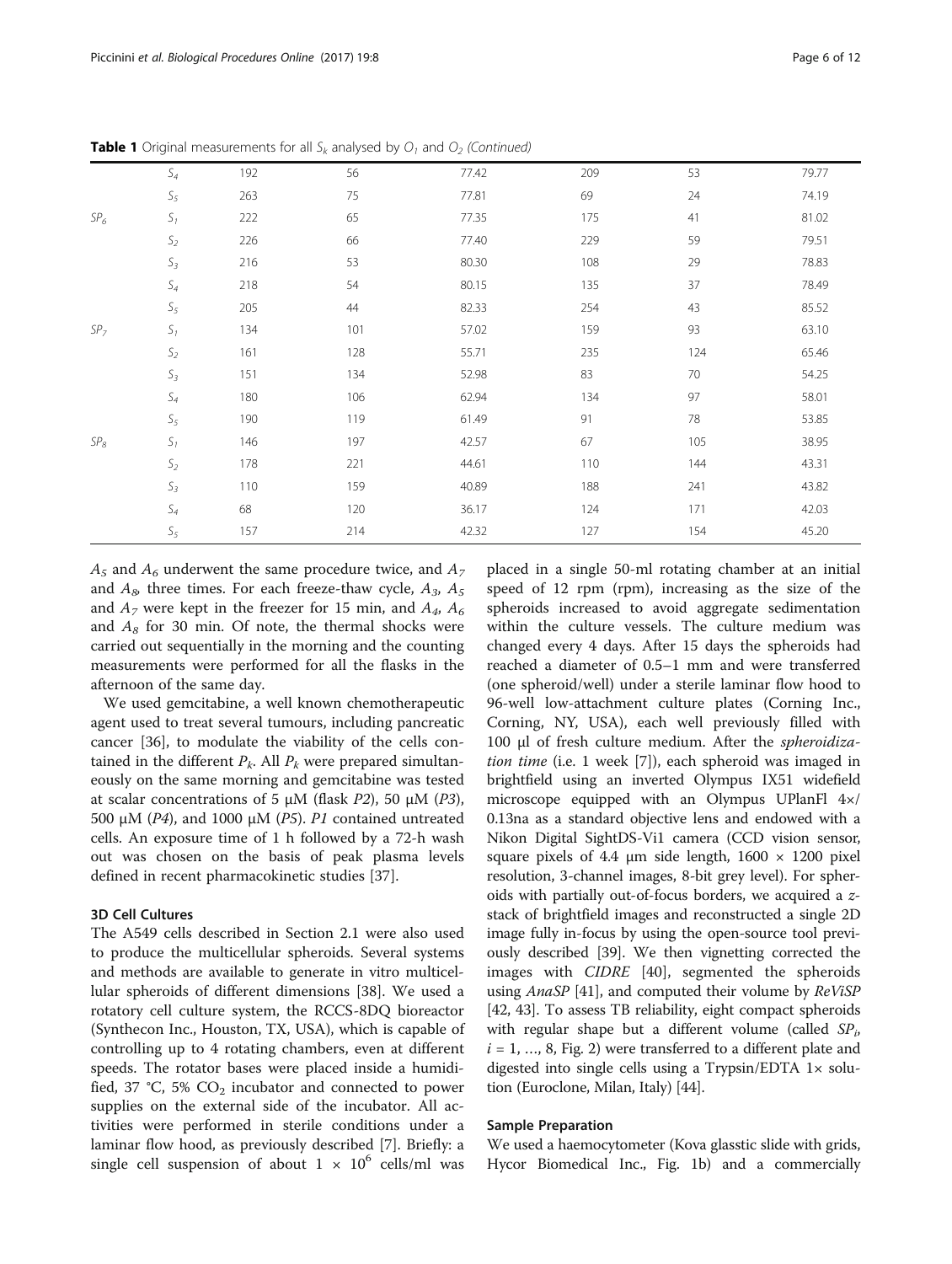$A_5$  and  $A_6$  underwent the same procedure twice, and  $A_7$ and  $A_8$  three times. For each freeze-thaw cycle,  $A_3$ ,  $A_5$ and  $A_7$  were kept in the freezer for 15 min, and  $A_4$ ,  $A_6$ and  $A_8$  for 30 min. Of note, the thermal shocks were carried out sequentially in the morning and the counting measurements were performed for all the flasks in the afternoon of the same day.

We used gemcitabine, a well known chemotherapeutic agent used to treat several tumours, including pancreatic cancer [\[36\]](#page-11-0), to modulate the viability of the cells contained in the different  $P_k$ . All  $P_k$  were prepared simultaneously on the same morning and gemcitabine was tested at scalar concentrations of 5 μM (flask P2), 50 μM (P3), 500 μM ( $P4$ ), and 1000 μM ( $P5$ ).  $P1$  contained untreated cells. An exposure time of 1 h followed by a 72-h wash out was chosen on the basis of peak plasma levels defined in recent pharmacokinetic studies [\[37](#page-11-0)].

# 3D Cell Cultures

The A549 cells described in Section 2.1 were also used to produce the multicellular spheroids. Several systems and methods are available to generate in vitro multicellular spheroids of different dimensions [\[38\]](#page-11-0). We used a rotatory cell culture system, the RCCS-8DQ bioreactor (Synthecon Inc., Houston, TX, USA), which is capable of controlling up to 4 rotating chambers, even at different speeds. The rotator bases were placed inside a humidified, 37 °C, 5%  $CO<sub>2</sub>$  incubator and connected to power supplies on the external side of the incubator. All activities were performed in sterile conditions under a laminar flow hood, as previously described [[7\]](#page-10-0). Briefly: a single cell suspension of about  $1 \times 10^6$  cells/ml was

placed in a single 50-ml rotating chamber at an initial speed of 12 rpm (rpm), increasing as the size of the spheroids increased to avoid aggregate sedimentation within the culture vessels. The culture medium was changed every 4 days. After 15 days the spheroids had reached a diameter of 0.5–1 mm and were transferred (one spheroid/well) under a sterile laminar flow hood to 96-well low-attachment culture plates (Corning Inc., Corning, NY, USA), each well previously filled with 100 μl of fresh culture medium. After the spheroidization time (i.e. 1 week [\[7](#page-10-0)]), each spheroid was imaged in brightfield using an inverted Olympus IX51 widefield microscope equipped with an Olympus UPlanFl 4×/ 0.13na as a standard objective lens and endowed with a Nikon Digital SightDS-Vi1 camera (CCD vision sensor, square pixels of 4.4  $\mu$ m side length, 1600  $\times$  1200 pixel resolution, 3-channel images, 8-bit grey level). For spheroids with partially out-of-focus borders, we acquired a zstack of brightfield images and reconstructed a single 2D image fully in-focus by using the open-source tool previously described [\[39](#page-11-0)]. We then vignetting corrected the images with CIDRE [[40\]](#page-11-0), segmented the spheroids using AnaSP [[41](#page-11-0)], and computed their volume by ReViSP [[42](#page-11-0), [43](#page-11-0)]. To assess TB reliability, eight compact spheroids with regular shape but a different volume (called  $SP<sub>i</sub>$ )  $i = 1, ..., 8$ , Fig. [2](#page-6-0)) were transferred to a different plate and digested into single cells using a Trypsin/EDTA 1× solution (Euroclone, Milan, Italy) [\[44\]](#page-11-0).

### Sample Preparation

We used a haemocytometer (Kova glasstic slide with grids, Hycor Biomedical Inc., Fig. [1b](#page-1-0)) and a commercially

| <b>Table 1</b> Original measurements for all $S_k$ analysed by $O_1$ and $O_2$ (Continued) |  |  |  |
|--------------------------------------------------------------------------------------------|--|--|--|
|                                                                                            |  |  |  |

|                 | $\mathsf S_4$   | 192 | 56  | 77.42 | 209 | 53  | 79.77 |
|-----------------|-----------------|-----|-----|-------|-----|-----|-------|
|                 | $\mathsf{S}_5$  | 263 | 75  | 77.81 | 69  | 24  | 74.19 |
| SP <sub>6</sub> | $\mathsf{S}_1$  | 222 | 65  | 77.35 | 175 | 41  | 81.02 |
|                 | $\mathsf{S}_2$  | 226 | 66  | 77.40 | 229 | 59  | 79.51 |
|                 | $\mathsf{S}_3$  | 216 | 53  | 80.30 | 108 | 29  | 78.83 |
|                 | $\mathsf S_4$   | 218 | 54  | 80.15 | 135 | 37  | 78.49 |
|                 | $\mathsf{S}_5$  | 205 | 44  | 82.33 | 254 | 43  | 85.52 |
| SP <sub>7</sub> | $S_I$           | 134 | 101 | 57.02 | 159 | 93  | 63.10 |
|                 | $\mathsf{S}_2$  | 161 | 128 | 55.71 | 235 | 124 | 65.46 |
|                 | $\mathsf{S}_3$  | 151 | 134 | 52.98 | 83  | 70  | 54.25 |
|                 | $\mathsf{S}_4$  | 180 | 106 | 62.94 | 134 | 97  | 58.01 |
|                 | $\mathsf{S}_5$  | 190 | 119 | 61.49 | 91  | 78  | 53.85 |
| $SP_8$          | $\mathsf{S}_1$  | 146 | 197 | 42.57 | 67  | 105 | 38.95 |
|                 | $\mathcal{S}_2$ | 178 | 221 | 44.61 | 110 | 144 | 43.31 |
|                 | $\mathsf{S}_3$  | 110 | 159 | 40.89 | 188 | 241 | 43.82 |
|                 | $\mathsf S_4$   | 68  | 120 | 36.17 | 124 | 171 | 42.03 |
|                 | $\mathsf{S}_5$  | 157 | 214 | 42.32 | 127 | 154 | 45.20 |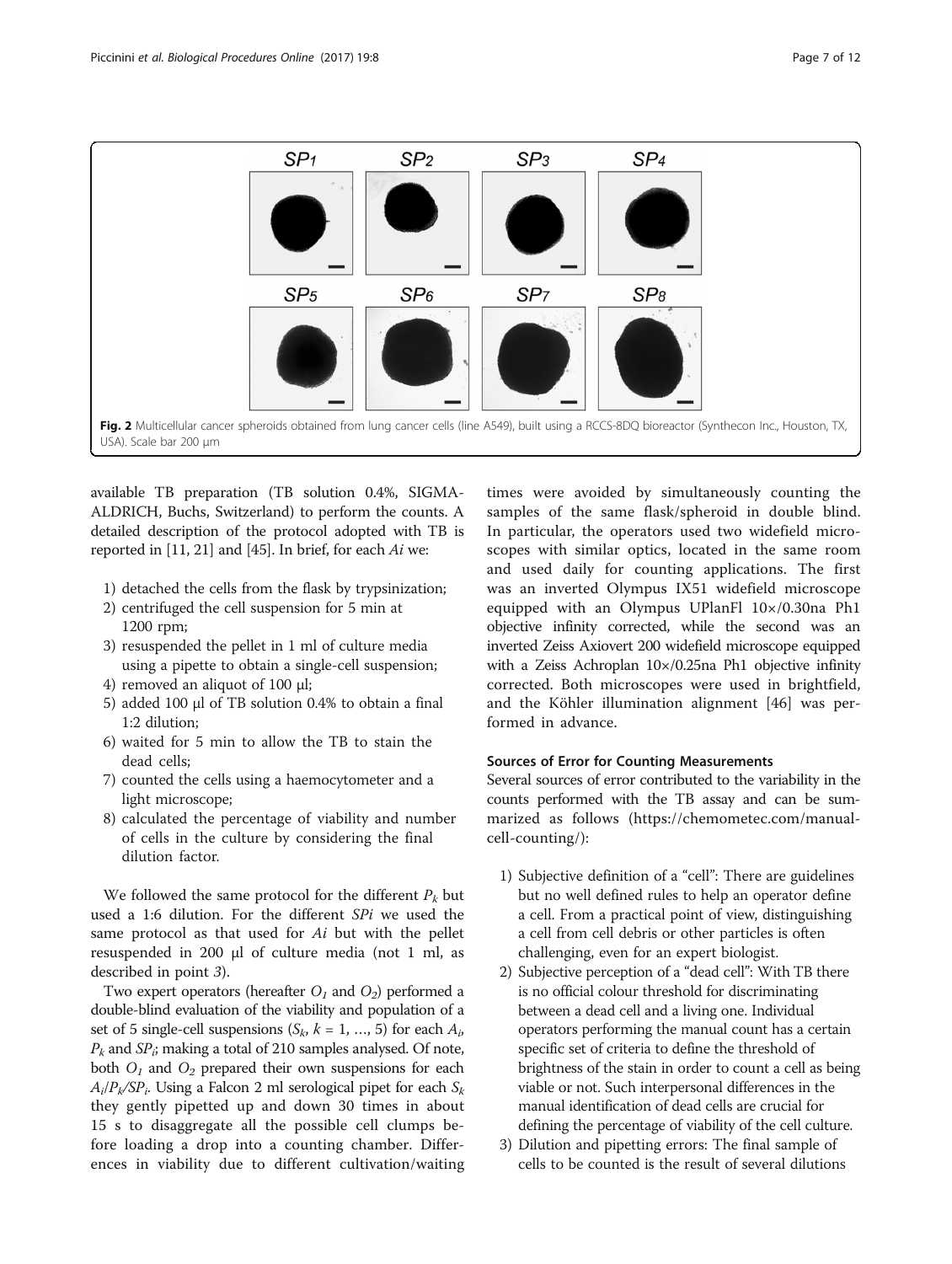<span id="page-6-0"></span>

available TB preparation (TB solution 0.4%, SIGMA-ALDRICH, Buchs, Switzerland) to perform the counts. A detailed description of the protocol adopted with TB is reported in [\[11, 21\]](#page-11-0) and [\[45\]](#page-11-0). In brief, for each Ai we:

- 1) detached the cells from the flask by trypsinization;
- 2) centrifuged the cell suspension for 5 min at 1200 rpm;
- 3) resuspended the pellet in 1 ml of culture media using a pipette to obtain a single-cell suspension;
- 4) removed an aliquot of 100 μl;
- 5) added 100 μl of TB solution 0.4% to obtain a final 1:2 dilution;
- 6) waited for 5 min to allow the TB to stain the dead cells;
- 7) counted the cells using a haemocytometer and a light microscope;
- 8) calculated the percentage of viability and number of cells in the culture by considering the final dilution factor.

We followed the same protocol for the different  $P_k$  but used a 1:6 dilution. For the different SPi we used the same protocol as that used for Ai but with the pellet resuspended in 200 μl of culture media (not 1 ml, as described in point 3).

Two expert operators (hereafter  $O_1$  and  $O_2$ ) performed a double-blind evaluation of the viability and population of a set of 5 single-cell suspensions ( $S_k$ ,  $k = 1, ..., 5$ ) for each  $A_i$ ,  $P_k$  and  $SP_i$ ; making a total of 210 samples analysed. Of note, both  $O_1$  and  $O_2$  prepared their own suspensions for each  $A_i/P_k/SP_i$ . Using a Falcon 2 ml serological pipet for each  $S_k$ they gently pipetted up and down 30 times in about 15 s to disaggregate all the possible cell clumps before loading a drop into a counting chamber. Differences in viability due to different cultivation/waiting

times were avoided by simultaneously counting the samples of the same flask/spheroid in double blind. In particular, the operators used two widefield microscopes with similar optics, located in the same room and used daily for counting applications. The first was an inverted Olympus IX51 widefield microscope equipped with an Olympus UPlanFl 10×/0.30na Ph1 objective infinity corrected, while the second was an inverted Zeiss Axiovert 200 widefield microscope equipped with a Zeiss Achroplan 10×/0.25na Ph1 objective infinity corrected. Both microscopes were used in brightfield, and the Köhler illumination alignment [[46\]](#page-11-0) was performed in advance.

# Sources of Error for Counting Measurements

Several sources of error contributed to the variability in the counts performed with the TB assay and can be summarized as follows ([https://chemometec.com/manual](https://chemometec.com/manual-cell-counting)[cell-counting/](https://chemometec.com/manual-cell-counting)):

- 1) Subjective definition of a "cell": There are guidelines but no well defined rules to help an operator define a cell. From a practical point of view, distinguishing a cell from cell debris or other particles is often challenging, even for an expert biologist.
- 2) Subjective perception of a "dead cell": With TB there is no official colour threshold for discriminating between a dead cell and a living one. Individual operators performing the manual count has a certain specific set of criteria to define the threshold of brightness of the stain in order to count a cell as being viable or not. Such interpersonal differences in the manual identification of dead cells are crucial for defining the percentage of viability of the cell culture.
- 3) Dilution and pipetting errors: The final sample of cells to be counted is the result of several dilutions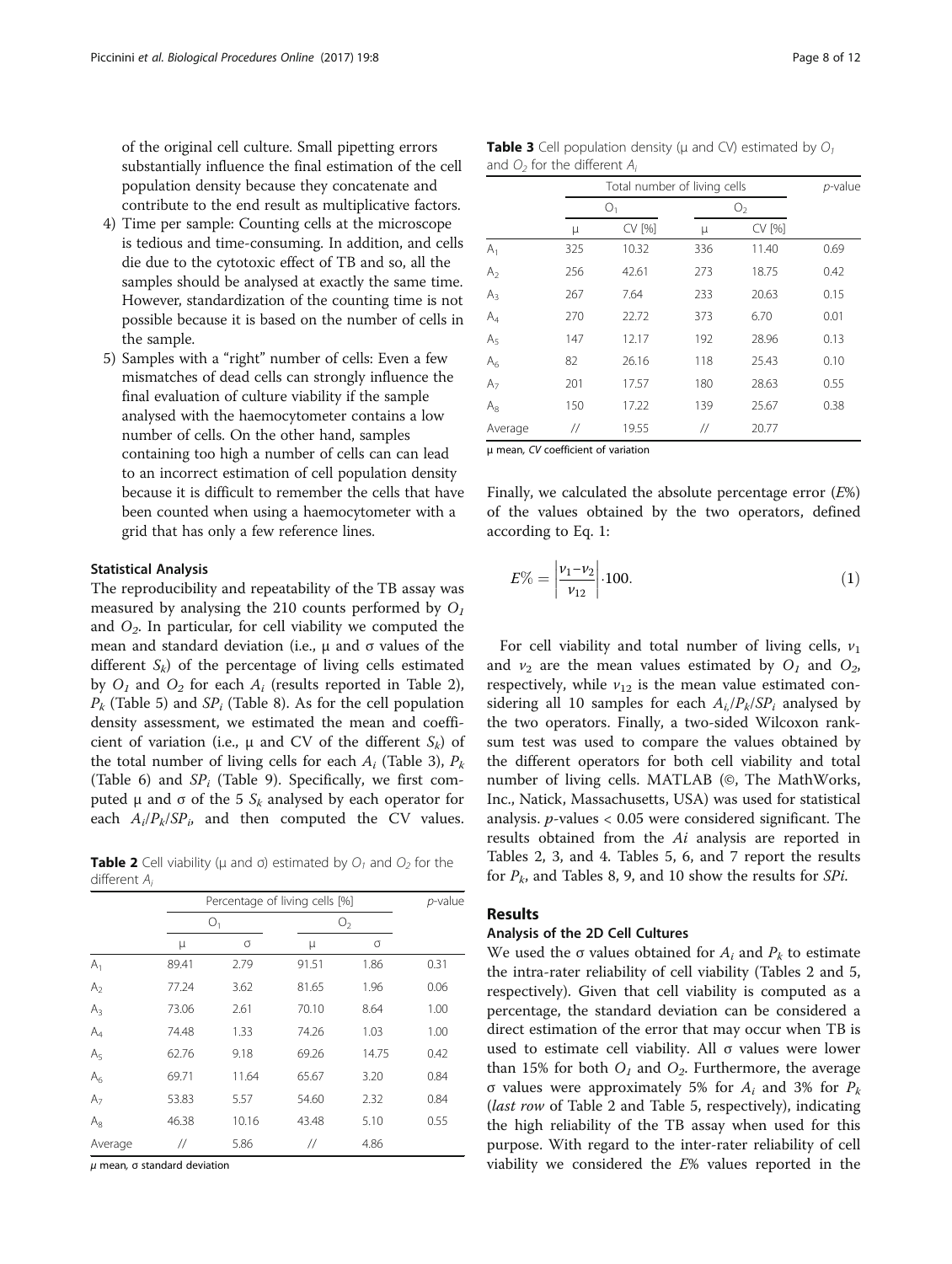<span id="page-7-0"></span>of the original cell culture. Small pipetting errors substantially influence the final estimation of the cell population density because they concatenate and contribute to the end result as multiplicative factors.

- 4) Time per sample: Counting cells at the microscope is tedious and time-consuming. In addition, and cells die due to the cytotoxic effect of TB and so, all the samples should be analysed at exactly the same time. However, standardization of the counting time is not possible because it is based on the number of cells in the sample.
- 5) Samples with a "right" number of cells: Even a few mismatches of dead cells can strongly influence the final evaluation of culture viability if the sample analysed with the haemocytometer contains a low number of cells. On the other hand, samples containing too high a number of cells can can lead to an incorrect estimation of cell population density because it is difficult to remember the cells that have been counted when using a haemocytometer with a grid that has only a few reference lines.

#### Statistical Analysis

The reproducibility and repeatability of the TB assay was measured by analysing the 210 counts performed by  $O<sub>1</sub>$ and  $O<sub>2</sub>$ . In particular, for cell viability we computed the mean and standard deviation (i.e.,  $\mu$  and σ values of the different  $S_k$ ) of the percentage of living cells estimated by  $O_1$  and  $O_2$  for each  $A_i$  (results reported in Table 2),  $P_k$  (Table [5](#page-8-0)) and  $SP_i$  (Table [8\)](#page-9-0). As for the cell population density assessment, we estimated the mean and coefficient of variation (i.e.,  $\mu$  and CV of the different  $S_k$ ) of the total number of living cells for each  $A_i$  (Table 3),  $P_k$ (Table [6\)](#page-8-0) and  $SP_i$  (Table [9\)](#page-9-0). Specifically, we first computed μ and σ of the 5  $S_k$  analysed by each operator for each  $A_i/P_k/SP_i$ , and then computed the CV values.

**Table 2** Cell viability ( $\mu$  and  $\sigma$ ) estimated by  $O_1$  and  $O_2$  for the different Ai

|                |       | Percentage of living cells [%] |       |                |      |
|----------------|-------|--------------------------------|-------|----------------|------|
|                |       | O <sub>1</sub>                 |       | O <sub>2</sub> |      |
|                | μ     | σ                              | μ     | σ              |      |
| $A_1$          | 89.41 | 2.79                           | 91.51 | 1.86           | 0.31 |
| A <sub>2</sub> | 77.24 | 3.62                           | 81.65 | 1.96           | 0.06 |
| $A_3$          | 73.06 | 2.61                           | 70.10 | 8.64           | 1.00 |
| $A_4$          | 74.48 | 1.33                           | 74.26 | 1.03           | 1.00 |
| A <sub>5</sub> | 62.76 | 9.18                           | 69.26 | 14.75          | 0.42 |
| $A_6$          | 69.71 | 11.64                          | 65.67 | 3.20           | 0.84 |
| A <sub>7</sub> | 53.83 | 5.57                           | 54.60 | 2.32           | 0.84 |
| $A_8$          | 46.38 | 10.16                          | 43.48 | 5.10           | 0.55 |
| Average        | //    | 5.86                           | //    | 4.86           |      |

 $μ$  mean, σ standard deviation

**Table 3** Cell population density ( $\mu$  and CV) estimated by  $O_1$ and  $O_2$  for the different  $A_i$ 

|                |     | Total number of living cells |                   |                |      |  |  |
|----------------|-----|------------------------------|-------------------|----------------|------|--|--|
|                |     | O <sub>1</sub>               |                   | O <sub>2</sub> |      |  |  |
|                | μ   | CV [%]                       | μ                 | CV [%]         |      |  |  |
| $A_1$          | 325 | 10.32                        | 336               | 11.40          | 0.69 |  |  |
| A <sub>2</sub> | 256 | 42.61                        | 273               | 18.75          | 0.42 |  |  |
| $A_3$          | 267 | 7.64                         | 233               | 20.63          | 0.15 |  |  |
| $A_4$          | 270 | 22.72                        | 373               | 6.70           | 0.01 |  |  |
| A <sub>5</sub> | 147 | 12.17                        | 192               | 28.96          | 0.13 |  |  |
| $A_6$          | 82  | 26.16                        | 118               | 25.43          | 0.10 |  |  |
| A <sub>7</sub> | 201 | 17.57                        | 180               | 28.63          | 0.55 |  |  |
| $A_8$          | 150 | 17.22                        | 139               | 25.67          | 0.38 |  |  |
| Average        | //  | 19.55                        | $^{\prime\prime}$ | 20.77          |      |  |  |

μ mean, CV coefficient of variation

Finally, we calculated the absolute percentage error (E%) of the values obtained by the two operators, defined according to Eq. 1:

$$
E\% = \left| \frac{\nu_1 - \nu_2}{\nu_{12}} \right| \cdot 100. \tag{1}
$$

For cell viability and total number of living cells,  $v_1$ and  $v_2$  are the mean values estimated by  $O_1$  and  $O_2$ , respectively, while  $v_{12}$  is the mean value estimated considering all 10 samples for each  $A_i/P_k/SP_i$  analysed by the two operators. Finally, a two-sided Wilcoxon ranksum test was used to compare the values obtained by the different operators for both cell viability and total number of living cells. MATLAB (©, The MathWorks, Inc., Natick, Massachusetts, USA) was used for statistical analysis.  $p$ -values < 0.05 were considered significant. The results obtained from the Ai analysis are reported in Tables 2, 3, and [4](#page-8-0). Tables [5](#page-8-0), [6,](#page-8-0) and [7](#page-8-0) report the results for  $P_k$ , and Tables [8](#page-9-0), [9](#page-9-0), and [10](#page-9-0) show the results for *SPi*.

## Results

#### Analysis of the 2D Cell Cultures

We used the  $\sigma$  values obtained for  $A_i$  and  $P_k$  to estimate the intra-rater reliability of cell viability (Tables 2 and [5](#page-8-0), respectively). Given that cell viability is computed as a percentage, the standard deviation can be considered a direct estimation of the error that may occur when TB is used to estimate cell viability. All σ values were lower than 15% for both  $O_1$  and  $O_2$ . Furthermore, the average σ values were approximately 5% for  $A_i$  and 3% for  $P_k$ (last row of Table 2 and Table [5,](#page-8-0) respectively), indicating the high reliability of the TB assay when used for this purpose. With regard to the inter-rater reliability of cell viability we considered the  $E$ % values reported in the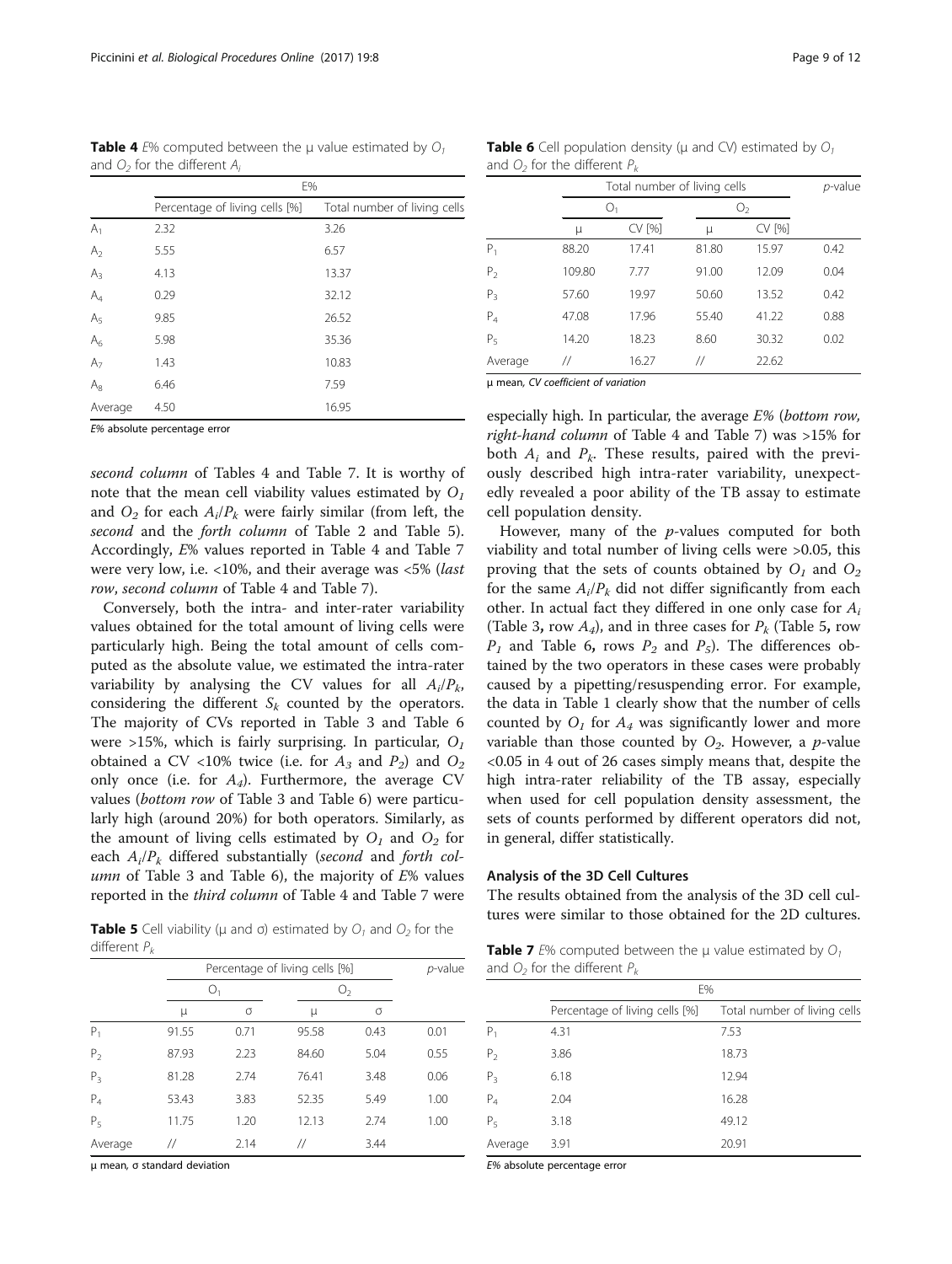| and $U_2$ for the different $A_i$ |                                |                              |  |  |  |  |
|-----------------------------------|--------------------------------|------------------------------|--|--|--|--|
|                                   | E%                             |                              |  |  |  |  |
|                                   | Percentage of living cells [%] | Total number of living cells |  |  |  |  |
| $A_1$                             | 2.32                           | 3.26                         |  |  |  |  |
| A <sub>2</sub>                    | 5.55                           | 6.57                         |  |  |  |  |
| $A_3$                             | 4.13                           | 13.37                        |  |  |  |  |
| $A_4$                             | 0.29                           | 32.12                        |  |  |  |  |
| A <sub>5</sub>                    | 9.85                           | 26.52                        |  |  |  |  |
| $A_6$                             | 5.98                           | 35.36                        |  |  |  |  |
| A <sub>7</sub>                    | 1.43                           | 10.83                        |  |  |  |  |
| $A_8$                             | 6.46                           | 7.59                         |  |  |  |  |
| Average                           | 4.50                           | 16.95                        |  |  |  |  |

<span id="page-8-0"></span>**Table 4** E% computed between the μ value estimated by  $O_1$ and  $O_2$  for the different  $A_1$ 

E% absolute percentage error

second column of Tables 4 and Table 7. It is worthy of note that the mean cell viability values estimated by  $O<sub>1</sub>$ and  $O_2$  for each  $A_i/P_k$  were fairly similar (from left, the second and the forth column of Table [2](#page-7-0) and Table 5). Accordingly, E% values reported in Table 4 and Table 7 were very low, i.e. <10%, and their average was <5% (last row, second column of Table 4 and Table 7).

Conversely, both the intra- and inter-rater variability values obtained for the total amount of living cells were particularly high. Being the total amount of cells computed as the absolute value, we estimated the intra-rater variability by analysing the CV values for all  $A_i/P_k$ , considering the different  $S_k$  counted by the operators. The majority of CVs reported in Table [3](#page-7-0) and Table 6 were >15%, which is fairly surprising. In particular,  $O<sub>1</sub>$ obtained a CV <10% twice (i.e. for  $A_3$  and  $P_2$ ) and  $O_2$ only once (i.e. for  $A_4$ ). Furthermore, the average CV values (bottom row of Table [3](#page-7-0) and Table 6) were particularly high (around 20%) for both operators. Similarly, as the amount of living cells estimated by  $O_1$  and  $O_2$  for each  $A_i/P_k$  differed substantially (second and forth col-umn of Table [3](#page-7-0) and Table 6), the majority of  $E\%$  values reported in the third column of Table 4 and Table 7 were

**Table 5** Cell viability ( $\mu$  and  $\sigma$ ) estimated by  $O_1$  and  $O_2$  for the different  $P_k$ 

|                |             | Percentage of living cells [%] |       |                |      |  |
|----------------|-------------|--------------------------------|-------|----------------|------|--|
|                | $\bigcup_1$ |                                |       | O <sub>2</sub> |      |  |
|                | μ           | σ                              | μ     | σ              |      |  |
| $P_1$          | 91.55       | 0.71                           | 95.58 | 0.43           | 0.01 |  |
| P <sub>2</sub> | 87.93       | 2.23                           | 84.60 | 5.04           | 0.55 |  |
| $P_3$          | 81.28       | 2.74                           | 76.41 | 3.48           | 0.06 |  |
| $P_4$          | 53.43       | 3.83                           | 52.35 | 5.49           | 1.00 |  |
| P <sub>5</sub> | 11.75       | 1.20                           | 12.13 | 2.74           | 1.00 |  |
| Average        | //          | 2.14                           | 77    | 3.44           |      |  |

μ mean, σ standard deviation

**Table 6** Cell population density ( $\mu$  and CV) estimated by  $O_1$ and  $O_2$  for the different  $P_k$ 

|                |        | Total number of living cells | p-value |        |      |
|----------------|--------|------------------------------|---------|--------|------|
|                | О,     |                              |         | 0,     |      |
|                | μ      | CV [%]                       | μ       | CV [%] |      |
| P,             | 88.20  | 17.41                        | 81.80   | 15.97  | 0.42 |
| $P_{2}$        | 109.80 | 7.77                         | 91.00   | 12.09  | 0.04 |
| $P_3$          | 57.60  | 19.97                        | 50.60   | 13.52  | 0.42 |
| $P_4$          | 47.08  | 17.96                        | 55.40   | 41.22  | 0.88 |
| P <sub>5</sub> | 14.20  | 18.23                        | 8.60    | 30.32  | 0.02 |
| Average        | 77     | 16.27                        | 77      | 22.62  |      |

μ mean, CV coefficient of variation

especially high. In particular, the average  $E%$  (bottom row, right-hand column of Table 4 and Table 7) was >15% for both  $A_i$  and  $P_k$ . These results, paired with the previously described high intra-rater variability, unexpectedly revealed a poor ability of the TB assay to estimate cell population density.

However, many of the p-values computed for both viability and total number of living cells were >0.05, this proving that the sets of counts obtained by  $O_1$  and  $O_2$ for the same  $A_i/P_k$  did not differ significantly from each other. In actual fact they differed in one only case for  $A_i$ (Table [3](#page-7-0), row  $A_4$ ), and in three cases for  $P_k$  (Table 5, row  $P_1$  and Table 6, rows  $P_2$  and  $P_5$ ). The differences obtained by the two operators in these cases were probably caused by a pipetting/resuspending error. For example, the data in Table [1](#page-3-0) clearly show that the number of cells counted by  $O<sub>1</sub>$  for  $A<sub>4</sub>$  was significantly lower and more variable than those counted by  $O_2$ . However, a *p*-value <0.05 in 4 out of 26 cases simply means that, despite the high intra-rater reliability of the TB assay, especially when used for cell population density assessment, the sets of counts performed by different operators did not, in general, differ statistically.

## Analysis of the 3D Cell Cultures

The results obtained from the analysis of the 3D cell cultures were similar to those obtained for the 2D cultures.

**Table 7** E% computed between the  $\mu$  value estimated by  $O_1$ and  $O_2$  for the different  $P_k$ 

|                | E%                             |                              |  |  |  |
|----------------|--------------------------------|------------------------------|--|--|--|
|                | Percentage of living cells [%] | Total number of living cells |  |  |  |
| $P_1$          | 4.31                           | 7.53                         |  |  |  |
| P <sub>2</sub> | 3.86                           | 18.73                        |  |  |  |
| $P_3$          | 6.18                           | 12.94                        |  |  |  |
| $P_4$          | 2.04                           | 16.28                        |  |  |  |
| P <sub>5</sub> | 3.18                           | 49.12                        |  |  |  |
| Average        | 3.91                           | 20.91                        |  |  |  |

E% absolute percentage error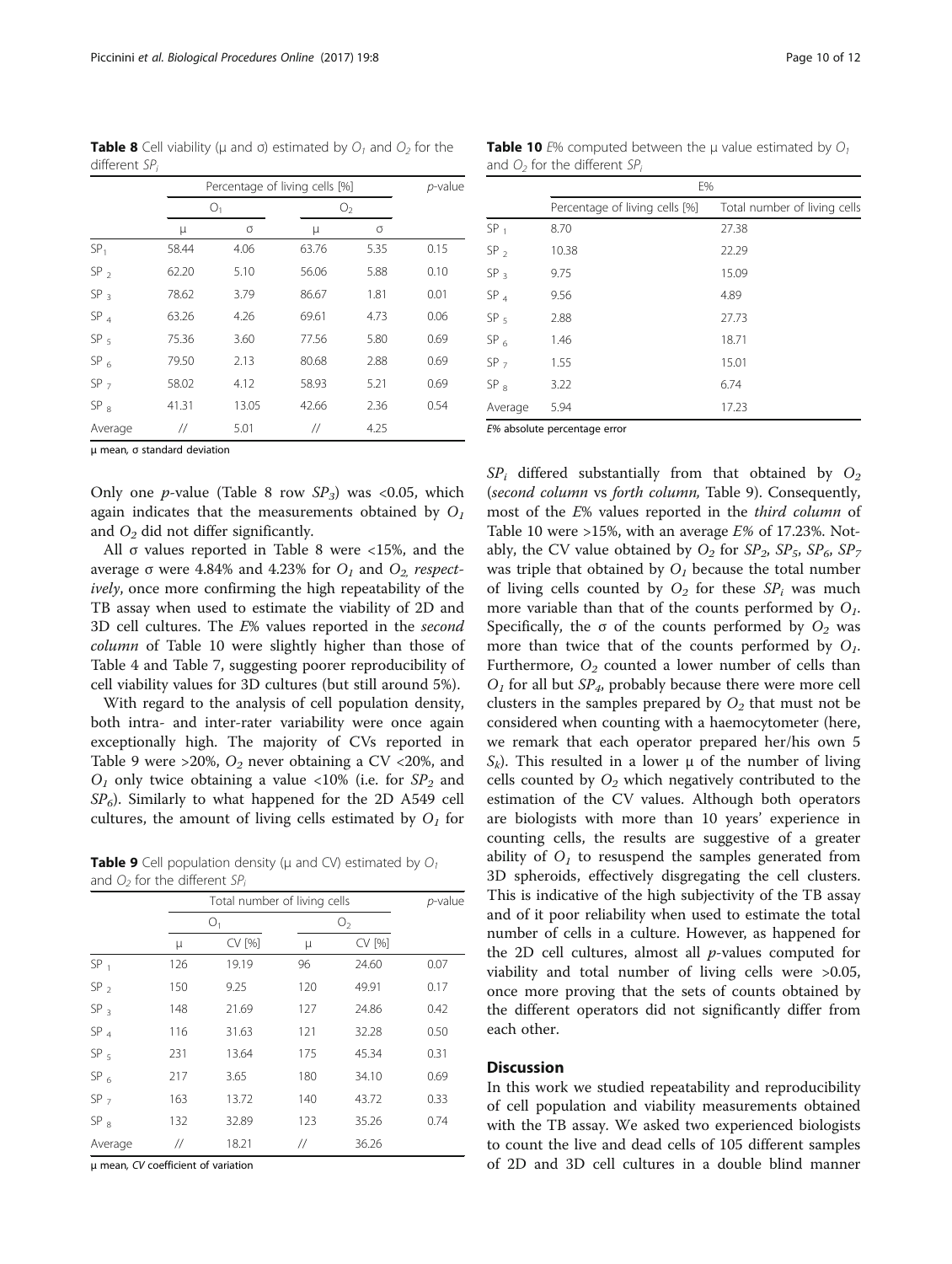μ mean, σ standard deviation

different SPi

Only one *p*-value (Table 8 row  $SP_3$ ) was <0.05, which again indicates that the measurements obtained by  $O<sub>1</sub>$ and  $O_2$  did not differ significantly.

Average // 5.01 // 4.25

All σ values reported in Table 8 were <15%, and the average σ were 4.84% and 4.23% for  $O_1$  and  $O_2$  respectively, once more confirming the high repeatability of the TB assay when used to estimate the viability of 2D and 3D cell cultures. The E% values reported in the second column of Table 10 were slightly higher than those of Table [4](#page-8-0) and Table [7](#page-8-0), suggesting poorer reproducibility of cell viability values for 3D cultures (but still around 5%).

With regard to the analysis of cell population density, both intra- and inter-rater variability were once again exceptionally high. The majority of CVs reported in Table 9 were > 20%,  $O_2$  never obtaining a CV < 20%, and  $O_1$  only twice obtaining a value <10% (i.e. for  $SP_2$  and  $SP<sub>6</sub>$ ). Similarly to what happened for the 2D A549 cell cultures, the amount of living cells estimated by  $O<sub>1</sub>$  for

**Table 9** Cell population density ( $\mu$  and CV) estimated by  $O_1$ and  $O_2$  for the different SP<sub>i</sub>

|                 | Total number of living cells |        |                   | p-value |      |
|-----------------|------------------------------|--------|-------------------|---------|------|
|                 | O <sub>1</sub>               |        | O <sub>2</sub>    |         |      |
|                 | μ                            | CV [%] | μ                 | CV [%]  |      |
| SP <sub>1</sub> | 126                          | 19.19  | 96                | 24.60   | 0.07 |
| SP <sub>2</sub> | 150                          | 9.25   | 120               | 49.91   | 0.17 |
| SP <sub>3</sub> | 148                          | 21.69  | 127               | 24.86   | 0.42 |
| SP <sub>4</sub> | 116                          | 31.63  | 121               | 32.28   | 0.50 |
| SP <sub>5</sub> | 231                          | 13.64  | 175               | 45.34   | 0.31 |
| $SP_6$          | 217                          | 3.65   | 180               | 34.10   | 0.69 |
| SP <sub>7</sub> | 163                          | 13.72  | 140               | 43.72   | 0.33 |
| SP <sub>8</sub> | 132                          | 32.89  | 123               | 35.26   | 0.74 |
| Average         | $^{\prime\prime}$            | 18.21  | $^{\prime\prime}$ | 36.26   |      |

μ mean, CV coefficient of variation

<span id="page-9-0"></span>**Table 8** Cell viability ( $\mu$  and  $\sigma$ ) estimated by  $O_1$  and  $O_2$  for the

 $O_1$   $O_2$ μ σ μσ  $SP<sub>1</sub>$  58.44 4.06 63.76 5.35 0.15  $SP<sub>2</sub>$  62.20 5.10 56.06 5.88 0.10 SP<sub>3</sub> 78.62 3.79 86.67 1.81 0.01  $SP<sub>4</sub>$  63.26 4.26 69.61 4.73 0.06 SP<sub>5</sub> 75.36 3.60 77.56 5.80 0.69 SP<sub>6</sub> 79.50 2.13 80.68 2.88 0.69 SP  $_7$  58.02 4.12 58.93 5.21 0.69 SP<sub>8</sub> 41.31 13.05 42.66 2.36 0.54

Percentage of living cells  $[%]$  p-value

**Table 10** E% computed between the  $\mu$  value estimated by  $O_1$ and  $O<sub>2</sub>$  for the different SP

|                 | E%                             |                              |  |
|-----------------|--------------------------------|------------------------------|--|
|                 | Percentage of living cells [%] | Total number of living cells |  |
| SP <sub>1</sub> | 8.70                           | 27.38                        |  |
| SP <sub>2</sub> | 10.38                          | 22.29                        |  |
| SP <sub>3</sub> | 9.75                           | 15.09                        |  |
| SP <sub>4</sub> | 9.56                           | 4.89                         |  |
| SP <sub>5</sub> | 2.88                           | 27.73                        |  |
| SP <sub>6</sub> | 1.46                           | 18.71                        |  |
| SP <sub>7</sub> | 1.55                           | 15.01                        |  |
| SP <sub>8</sub> | 3.22                           | 6.74                         |  |
| Average         | 5.94                           | 17.23                        |  |

E% absolute percentage error

 $SP_i$  differed substantially from that obtained by  $O_2$ (second column vs forth column, Table 9). Consequently, most of the E% values reported in the third column of Table 10 were >15%, with an average  $E%$  of 17.23%. Notably, the CV value obtained by  $O_2$  for  $SP_2$ ,  $SP_5$ ,  $SP_6$ ,  $SP_7$ was triple that obtained by  $O<sub>1</sub>$  because the total number of living cells counted by  $O_2$  for these  $SP_i$  was much more variable than that of the counts performed by  $O<sub>1</sub>$ . Specifically, the  $\sigma$  of the counts performed by  $O_2$  was more than twice that of the counts performed by  $O<sub>1</sub>$ . Furthermore,  $O_2$  counted a lower number of cells than  $O<sub>1</sub>$  for all but  $SP<sub>4</sub>$ , probably because there were more cell clusters in the samples prepared by  $O_2$  that must not be considered when counting with a haemocytometer (here, we remark that each operator prepared her/his own 5  $S_k$ ). This resulted in a lower  $\mu$  of the number of living cells counted by  $O_2$  which negatively contributed to the estimation of the CV values. Although both operators are biologists with more than 10 years' experience in counting cells, the results are suggestive of a greater ability of  $O<sub>1</sub>$  to resuspend the samples generated from 3D spheroids, effectively disgregating the cell clusters. This is indicative of the high subjectivity of the TB assay and of it poor reliability when used to estimate the total number of cells in a culture. However, as happened for the 2D cell cultures, almost all  $p$ -values computed for viability and total number of living cells were >0.05, once more proving that the sets of counts obtained by the different operators did not significantly differ from each other.

#### Discussion

In this work we studied repeatability and reproducibility of cell population and viability measurements obtained with the TB assay. We asked two experienced biologists to count the live and dead cells of 105 different samples of 2D and 3D cell cultures in a double blind manner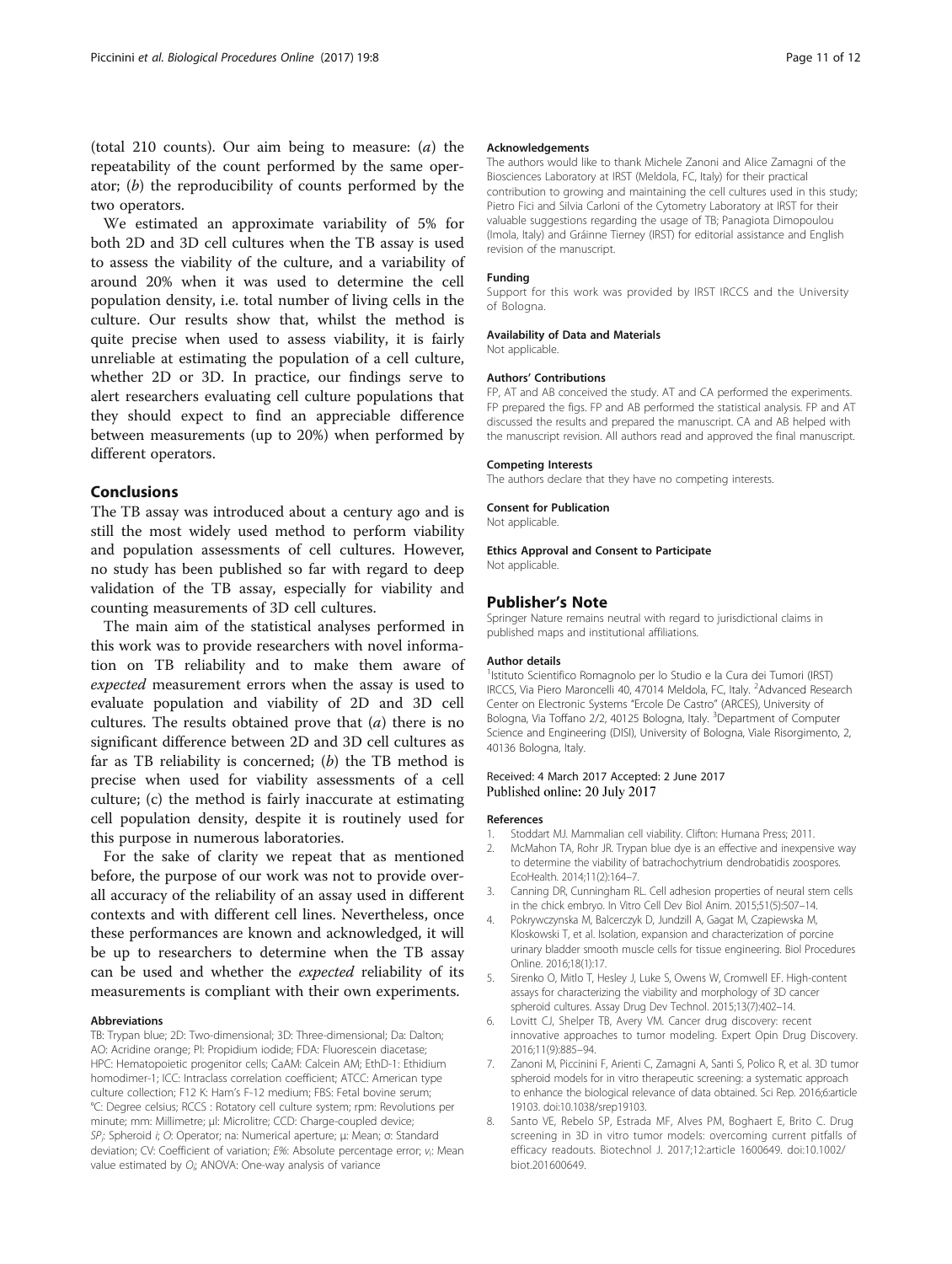<span id="page-10-0"></span>(total 210 counts). Our aim being to measure: (a) the repeatability of the count performed by the same operator; (b) the reproducibility of counts performed by the two operators.

We estimated an approximate variability of 5% for both 2D and 3D cell cultures when the TB assay is used to assess the viability of the culture, and a variability of around 20% when it was used to determine the cell population density, i.e. total number of living cells in the culture. Our results show that, whilst the method is quite precise when used to assess viability, it is fairly unreliable at estimating the population of a cell culture, whether 2D or 3D. In practice, our findings serve to alert researchers evaluating cell culture populations that they should expect to find an appreciable difference between measurements (up to 20%) when performed by different operators.

## Conclusions

The TB assay was introduced about a century ago and is still the most widely used method to perform viability and population assessments of cell cultures. However, no study has been published so far with regard to deep validation of the TB assay, especially for viability and counting measurements of 3D cell cultures.

The main aim of the statistical analyses performed in this work was to provide researchers with novel information on TB reliability and to make them aware of expected measurement errors when the assay is used to evaluate population and viability of 2D and 3D cell cultures. The results obtained prove that  $(a)$  there is no significant difference between 2D and 3D cell cultures as far as TB reliability is concerned;  $(b)$  the TB method is precise when used for viability assessments of a cell culture; (c) the method is fairly inaccurate at estimating cell population density, despite it is routinely used for this purpose in numerous laboratories.

For the sake of clarity we repeat that as mentioned before, the purpose of our work was not to provide overall accuracy of the reliability of an assay used in different contexts and with different cell lines. Nevertheless, once these performances are known and acknowledged, it will be up to researchers to determine when the TB assay can be used and whether the expected reliability of its measurements is compliant with their own experiments.

#### Abbreviations

TB: Trypan blue; 2D: Two-dimensional; 3D: Three-dimensional; Da: Dalton; AO: Acridine orange; PI: Propidium iodide; FDA: Fluorescein diacetase; HPC: Hematopoietic progenitor cells; CaAM: Calcein AM; EthD-1: Ethidium homodimer-1; ICC: Intraclass correlation coefficient; ATCC: American type culture collection; F12 K: Ham's F-12 medium; FBS: Fetal bovine serum; °C: Degree celsius; RCCS : Rotatory cell culture system; rpm: Revolutions per minute; mm: Millimetre; μl: Microlitre; CCD: Charge-coupled device; SP<sub>i</sub>: Spheroid i; O: Operator; na: Numerical aperture; μ: Mean; σ: Standard deviation; CV: Coefficient of variation; E%: Absolute percentage error; v<sub>i</sub>: Mean value estimated by  $O_i$ ; ANOVA: One-way analysis of variance

#### Acknowledgements

The authors would like to thank Michele Zanoni and Alice Zamagni of the Biosciences Laboratory at IRST (Meldola, FC, Italy) for their practical contribution to growing and maintaining the cell cultures used in this study; Pietro Fici and Silvia Carloni of the Cytometry Laboratory at IRST for their valuable suggestions regarding the usage of TB; Panagiota Dimopoulou (Imola, Italy) and Gráinne Tierney (IRST) for editorial assistance and English revision of the manuscript.

#### Funding

Support for this work was provided by IRST IRCCS and the University of Bologna.

#### Availability of Data and Materials

Not applicable.

#### Authors' Contributions

FP, AT and AB conceived the study. AT and CA performed the experiments. FP prepared the figs. FP and AB performed the statistical analysis. FP and AT discussed the results and prepared the manuscript. CA and AB helped with the manuscript revision. All authors read and approved the final manuscript.

#### Competing Interests

The authors declare that they have no competing interests.

#### Consent for Publication

Not applicable.

#### Ethics Approval and Consent to Participate Not applicable.

# Publisher's Note

Springer Nature remains neutral with regard to jurisdictional claims in published maps and institutional affiliations.

#### Author details

<sup>1</sup>Istituto Scientifico Romagnolo per lo Studio e la Cura dei Tumori (IRST) IRCCS, Via Piero Maroncelli 40, 47014 Meldola, FC, Italy. <sup>2</sup>Advanced Research Center on Electronic Systems "Ercole De Castro" (ARCES), University of Bologna, Via Toffano 2/2, 40125 Bologna, Italy. <sup>3</sup>Department of Computer Science and Engineering (DISI), University of Bologna, Viale Risorgimento, 2, 40136 Bologna, Italy.

#### Received: 4 March 2017 Accepted: 2 June 2017 Published online: 20 July 2017

#### References

- 1. Stoddart MJ. Mammalian cell viability. Clifton: Humana Press; 2011.
- 2. McMahon TA, Rohr JR. Trypan blue dye is an effective and inexpensive way to determine the viability of batrachochytrium dendrobatidis zoospores. EcoHealth. 2014;11(2):164–7.
- 3. Canning DR, Cunningham RL. Cell adhesion properties of neural stem cells in the chick embryo. In Vitro Cell Dev Biol Anim. 2015;51(5):507–14.
- 4. Pokrywczynska M, Balcerczyk D, Jundzill A, Gagat M, Czapiewska M, Kloskowski T, et al. Isolation, expansion and characterization of porcine urinary bladder smooth muscle cells for tissue engineering. Biol Procedures Online. 2016;18(1):17.
- 5. Sirenko O, Mitlo T, Hesley J, Luke S, Owens W, Cromwell EF. High-content assays for characterizing the viability and morphology of 3D cancer spheroid cultures. Assay Drug Dev Technol. 2015;13(7):402–14.
- 6. Lovitt CJ, Shelper TB, Avery VM. Cancer drug discovery: recent innovative approaches to tumor modeling. Expert Opin Drug Discovery. 2016;11(9):885–94.
- 7. Zanoni M, Piccinini F, Arienti C, Zamagni A, Santi S, Polico R, et al. 3D tumor spheroid models for in vitro therapeutic screening: a systematic approach to enhance the biological relevance of data obtained. Sci Rep. 2016;6:article 19103. doi[:10.1038/srep19103.](http://dx.doi.org/10.1038/srep19103)
- 8. Santo VE, Rebelo SP, Estrada MF, Alves PM, Boghaert E, Brito C. Drug screening in 3D in vitro tumor models: overcoming current pitfalls of efficacy readouts. Biotechnol J. 2017;12:article 1600649. doi:[10.1002/](http://dx.doi.org/10.1002/biot.201600649) [biot.201600649.](http://dx.doi.org/10.1002/biot.201600649)